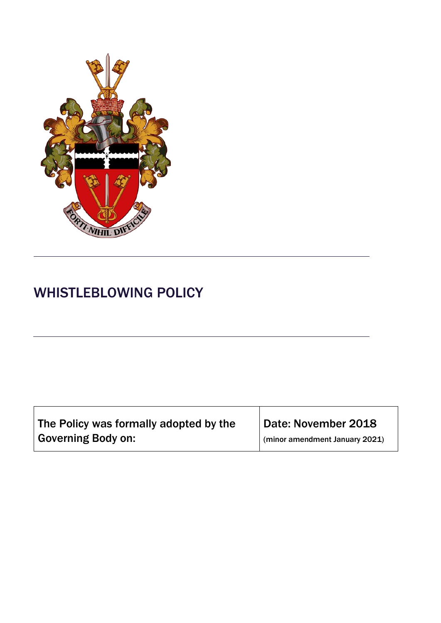

# WHISTLEBLOWING POLICY

| The Policy was formally adopted by the | Date: November 2018            |  |
|----------------------------------------|--------------------------------|--|
| <b>Governing Body on:</b>              | (minor amendment January 2021) |  |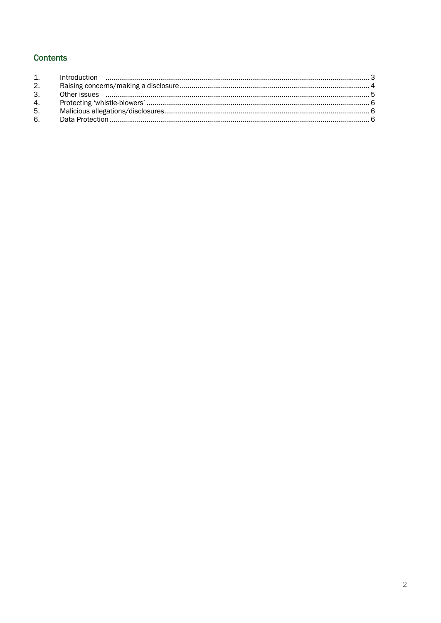### **Contents**

| 2.             |  |
|----------------|--|
| 3.             |  |
|                |  |
| 5 <sub>1</sub> |  |
| 6.             |  |
|                |  |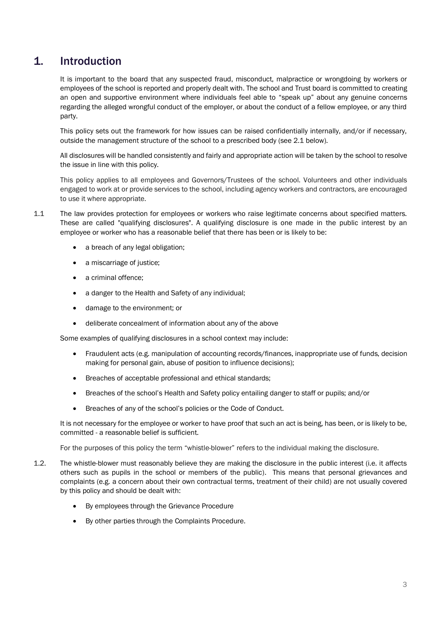# <span id="page-2-0"></span>1. Introduction

It is important to the board that any suspected fraud, misconduct, malpractice or wrongdoing by workers or employees of the school is reported and properly dealt with. The school and Trust board is committed to creating an open and supportive environment where individuals feel able to "speak up" about any genuine concerns regarding the alleged wrongful conduct of the employer, or about the conduct of a fellow employee, or any third party.

This policy sets out the framework for how issues can be raised confidentially internally, and/or if necessary, outside the management structure of the school to a prescribed body (see 2.1 below).

All disclosures will be handled consistently and fairly and appropriate action will be taken by the school to resolve the issue in line with this policy.

This policy applies to all employees and Governors/Trustees of the school. Volunteers and other individuals engaged to work at or provide services to the school, including agency workers and contractors, are encouraged to use it where appropriate.

- 1.1 The law provides protection for employees or workers who raise legitimate concerns about specified matters. These are called "qualifying disclosures". A qualifying disclosure is one made in the public interest by an employee or worker who has a reasonable belief that there has been or is likely to be:
	- a breach of any legal obligation;
	- a miscarriage of justice;
	- a criminal offence;
	- a danger to the Health and Safety of any individual;
	- damage to the environment; or
	- deliberate concealment of information about any of the above

Some examples of qualifying disclosures in a school context may include:

- Fraudulent acts (e.g. manipulation of accounting records/finances, inappropriate use of funds, decision making for personal gain, abuse of position to influence decisions);
- Breaches of acceptable professional and ethical standards;
- Breaches of the school's Health and Safety policy entailing danger to staff or pupils; and/or
- Breaches of any of the school's policies or the Code of Conduct.

It is not necessary for the employee or worker to have proof that such an act is being, has been, or is likely to be, committed - a reasonable belief is sufficient.

For the purposes of this policy the term "whistle-blower" refers to the individual making the disclosure.

- 1.2. The whistle-blower must reasonably believe they are making the disclosure in the public interest (i.e. it affects others such as pupils in the school or members of the public). This means that personal grievances and complaints (e.g. a concern about their own contractual terms, treatment of their child) are not usually covered by this policy and should be dealt with:
	- By employees through the Grievance Procedure
	- By other parties through the Complaints Procedure.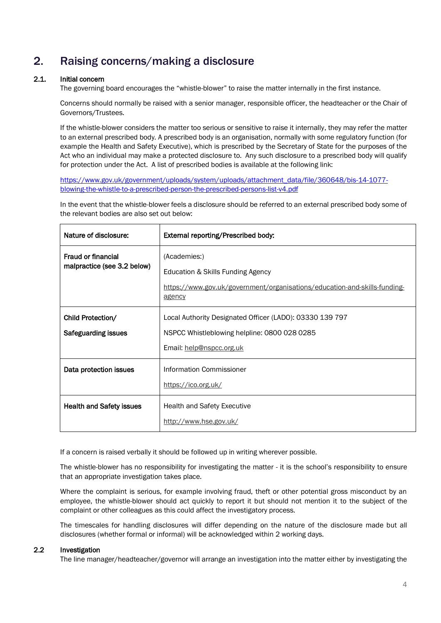# <span id="page-3-0"></span>2. Raising concerns/making a disclosure

#### 2.1. Initial concern

The governing board encourages the "whistle-blower" to raise the matter internally in the first instance.

Concerns should normally be raised with a senior manager, responsible officer, the headteacher or the Chair of Governors/Trustees.

If the whistle-blower considers the matter too serious or sensitive to raise it internally, they may refer the matter to an external prescribed body. A prescribed body is an organisation, normally with some regulatory function (for example the Health and Safety Executive), which is prescribed by the Secretary of State for the purposes of the Act who an individual may make a protected disclosure to. Any such disclosure to a prescribed body will qualify for protection under the Act. A list of prescribed bodies is available at the following link:

[https://www.gov.uk/government/uploads/system/uploads/attachment\\_data/file/360648/bis-14-1077](https://www.gov.uk/government/uploads/system/uploads/attachment_data/file/360648/bis-14-1077-blowing-the-whistle-to-a-prescribed-person-the-prescribed-persons-list-v4.pdf) [blowing-the-whistle-to-a-prescribed-person-the-prescribed-persons-list-v4.pdf](https://www.gov.uk/government/uploads/system/uploads/attachment_data/file/360648/bis-14-1077-blowing-the-whistle-to-a-prescribed-person-the-prescribed-persons-list-v4.pdf)

In the event that the whistle-blower feels a disclosure should be referred to an external prescribed body some of the relevant bodies are also set out below:

| Nature of disclosure:                             | External reporting/Prescribed body:                                                                                                      |
|---------------------------------------------------|------------------------------------------------------------------------------------------------------------------------------------------|
| Fraud or financial<br>malpractice (see 3.2 below) | (Academies:)<br>Education & Skills Funding Agency<br>https://www.gov.uk/government/organisations/education-and-skills-funding-<br>agency |
| Child Protection/<br><b>Safeguarding issues</b>   | Local Authority Designated Officer (LADO): 03330 139 797<br>NSPCC Whistleblowing helpline: 0800 028 0285<br>Email: help@nspcc.org.uk     |
| Data protection issues                            | Information Commissioner<br>https://ico.org.uk/                                                                                          |
| <b>Health and Safety issues</b>                   | <b>Health and Safety Executive</b><br>http://www.hse.gov.uk/                                                                             |

If a concern is raised verbally it should be followed up in writing wherever possible.

The whistle-blower has no responsibility for investigating the matter - it is the school's responsibility to ensure that an appropriate investigation takes place.

Where the complaint is serious, for example involving fraud, theft or other potential gross misconduct by an employee, the whistle-blower should act quickly to report it but should not mention it to the subject of the complaint or other colleagues as this could affect the investigatory process.

The timescales for handling disclosures will differ depending on the nature of the disclosure made but all disclosures (whether formal or informal) will be acknowledged within 2 working days.

#### 2.2 Investigation

The line manager/headteacher/governor will arrange an investigation into the matter either by investigating the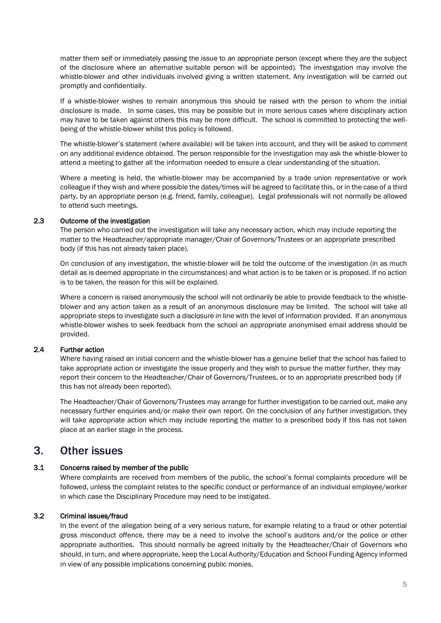matter them self or immediately passing the issue to an appropriate person (except where they are the subject of the disclosure where an alternative suitable person will be appointed). The investigation may involve the whistle-blower and other individuals involved giving a written statement. Any investigation will be carried out promptly and confidentially.

If a whistle-blower wishes to remain anonymous this should be raised with the person to whom the initial disclosure is made. In some cases, this may be possible but in more serious cases where disciplinary action may have to be taken against others this may be more difficult. The school is committed to protecting the wellbeing of the whistle-blower whilst this policy is followed.

The whistle-blower's statement (where available) will be taken into account, and they will be asked to comment on any additional evidence obtained. The person responsible for the investigation may ask the whistle-blower to attend a meeting to gather all the information needed to ensure a clear understanding of the situation.

Where a meeting is held, the whistle-blower may be accompanied by a trade union representative or work colleague if they wish and where possible the dates/times will be agreed to facilitate this, or in the case of a third party, by an appropriate person (e.g. friend, family, colleague). Legal professionals will not normally be allowed to attend such meetings.

#### 2.3 Outcome of the investigation

The person who carried out the investigation will take any necessary action, which may include reporting the matter to the Headteacher/appropriate manager/Chair of Governors/Trustees or an appropriate prescribed body (if this has not already taken place).

On conclusion of any investigation, the whistle-blower will be told the outcome of the investigation (in as much detail as is deemed appropriate in the circumstances) and what action is to be taken or is proposed. If no action is to be taken, the reason for this will be explained.

Where a concern is raised anonymously the school will not ordinarily be able to provide feedback to the whistleblower and any action taken as a result of an anonymous disclosure may be limited. The school will take all appropriate steps to investigate such a disclosure in line with the level of information provided. If an anonymous whistle-blower wishes to seek feedback from the school an appropriate anonymised email address should be provided.

#### 2.4 Further action

Where having raised an initial concern and the whistle-blower has a genuine belief that the school has failed to take appropriate action or investigate the issue properly and they wish to pursue the matter further, they may report their concern to the Headteacher/Chair of Governors/Trustees, or to an appropriate prescribed body (if this has not already been reported).

The Headteacher/Chair of Governors/Trustees may arrange for further investigation to be carried out, make any necessary further enquiries and/or make their own report. On the conclusion of any further investigation, they will take appropriate action which may include reporting the matter to a prescribed body if this has not taken place at an earlier stage in the process.

### <span id="page-4-0"></span>3. Other issues

#### 3.1 Concerns raised by member of the public

Where complaints are received from members of the public, the school's formal complaints procedure will be followed, unless the complaint relates to the specific conduct or performance of an individual employee/worker in which case the Disciplinary Procedure may need to be instigated.

#### 3.2 Criminal issues/fraud

In the event of the allegation being of a very serious nature, for example relating to a fraud or other potential gross misconduct offence, there may be a need to involve the school's auditors and/or the police or other appropriate authorities. This should normally be agreed initially by the Headteacher/Chair of Governors who should, in turn, and where appropriate, keep the Local Authority/Education and School Funding Agency informed in view of any possible implications concerning public monies.